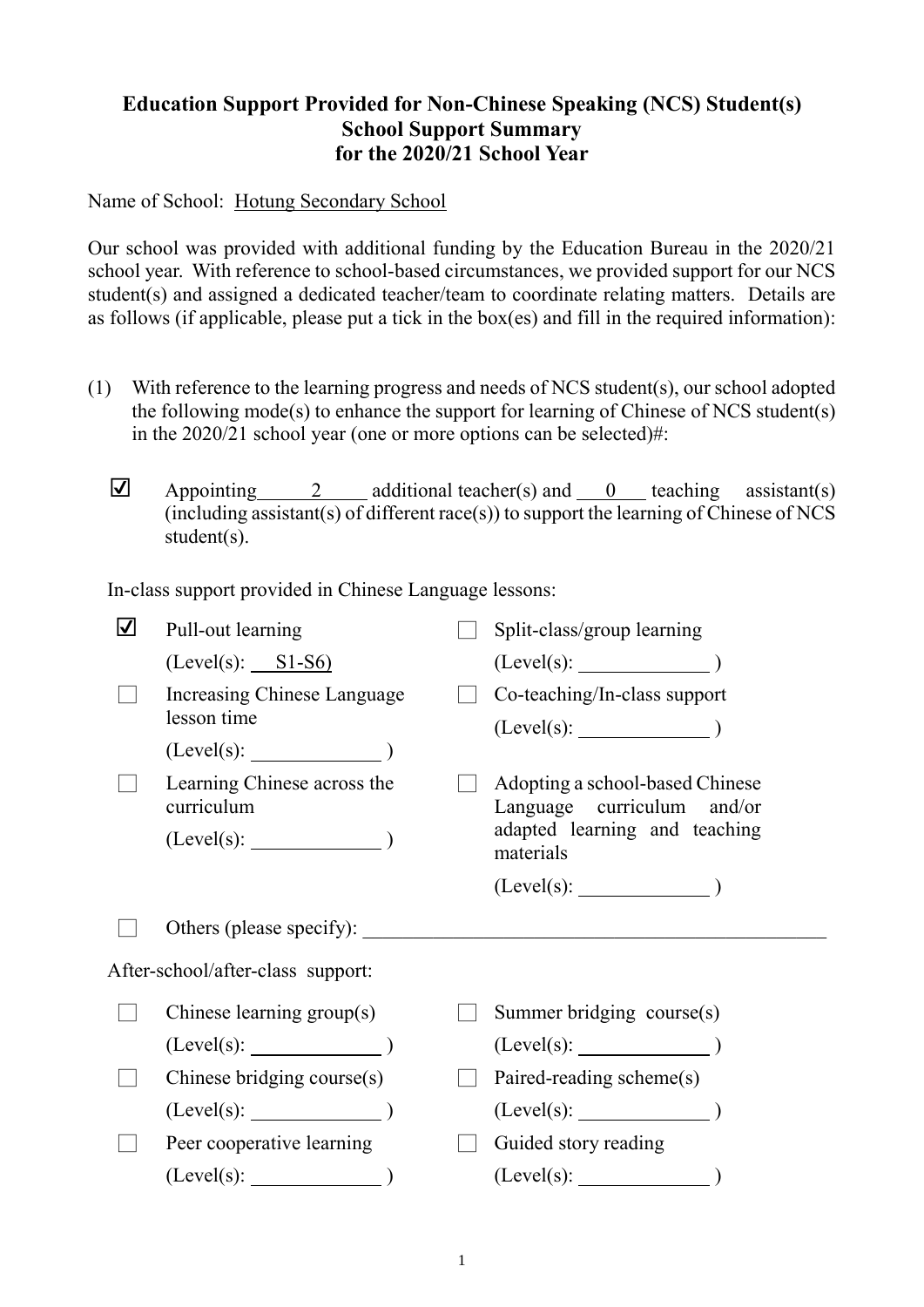## **Education Support Provided for Non-Chinese Speaking (NCS) Student(s) School Support Summary for the 2020/21 School Year**

Name of School: Hotung Secondary School

Our school was provided with additional funding by the Education Bureau in the 2020/21 school year. With reference to school-based circumstances, we provided support for our NCS student(s) and assigned a dedicated teacher/team to coordinate relating matters. Details are as follows (if applicable, please put a tick in the box(es) and fill in the required information):

- (1) With reference to the learning progress and needs of NCS student(s), our school adopted the following mode(s) to enhance the support for learning of Chinese of NCS student(s) in the 2020/21 school year (one or more options can be selected)#:
	- $\Box$  Appointing 2 additional teacher(s) and 0 teaching assistant(s) (including assistant(s) of different race(s)) to support the learning of Chinese of NCS student(s).

In-class support provided in Chinese Language lessons:

| $\overline{\mathbf{V}}$ | Pull-out learning                         | Split-class/group learning                                                                                                                                                                                                           |
|-------------------------|-------------------------------------------|--------------------------------------------------------------------------------------------------------------------------------------------------------------------------------------------------------------------------------------|
|                         | $(Level(s):$ $SI- S6)$                    |                                                                                                                                                                                                                                      |
|                         | Increasing Chinese Language               | Co-teaching/In-class support                                                                                                                                                                                                         |
|                         | lesson time                               | $(Level(s):$ $)$                                                                                                                                                                                                                     |
|                         | $(Level(s):$ $)$                          |                                                                                                                                                                                                                                      |
|                         | Learning Chinese across the<br>curriculum | Adopting a school-based Chinese<br>Language curriculum and/or                                                                                                                                                                        |
|                         | $(Level(s):$ $)$                          | adapted learning and teaching<br>materials                                                                                                                                                                                           |
|                         |                                           | $(Level(s):$ $)$                                                                                                                                                                                                                     |
|                         |                                           |                                                                                                                                                                                                                                      |
|                         | Others (please specify):                  | <u>and the state of the state of the state of the state of the state of the state of the state of the state of the state of the state of the state of the state of the state of the state of the state of the state of the state</u> |
|                         | After-school/after-class support:         |                                                                                                                                                                                                                                      |
|                         | Chinese learning group(s)                 | Summer bridging course(s)                                                                                                                                                                                                            |
|                         | (Level(s):                                | (Level(s):                                                                                                                                                                                                                           |
|                         | Chinese bridging course(s)                | Paired-reading scheme(s)                                                                                                                                                                                                             |
|                         | (Level(s):                                | $(Level(s):$ (Level(s):                                                                                                                                                                                                              |
|                         | Peer cooperative learning                 | Guided story reading                                                                                                                                                                                                                 |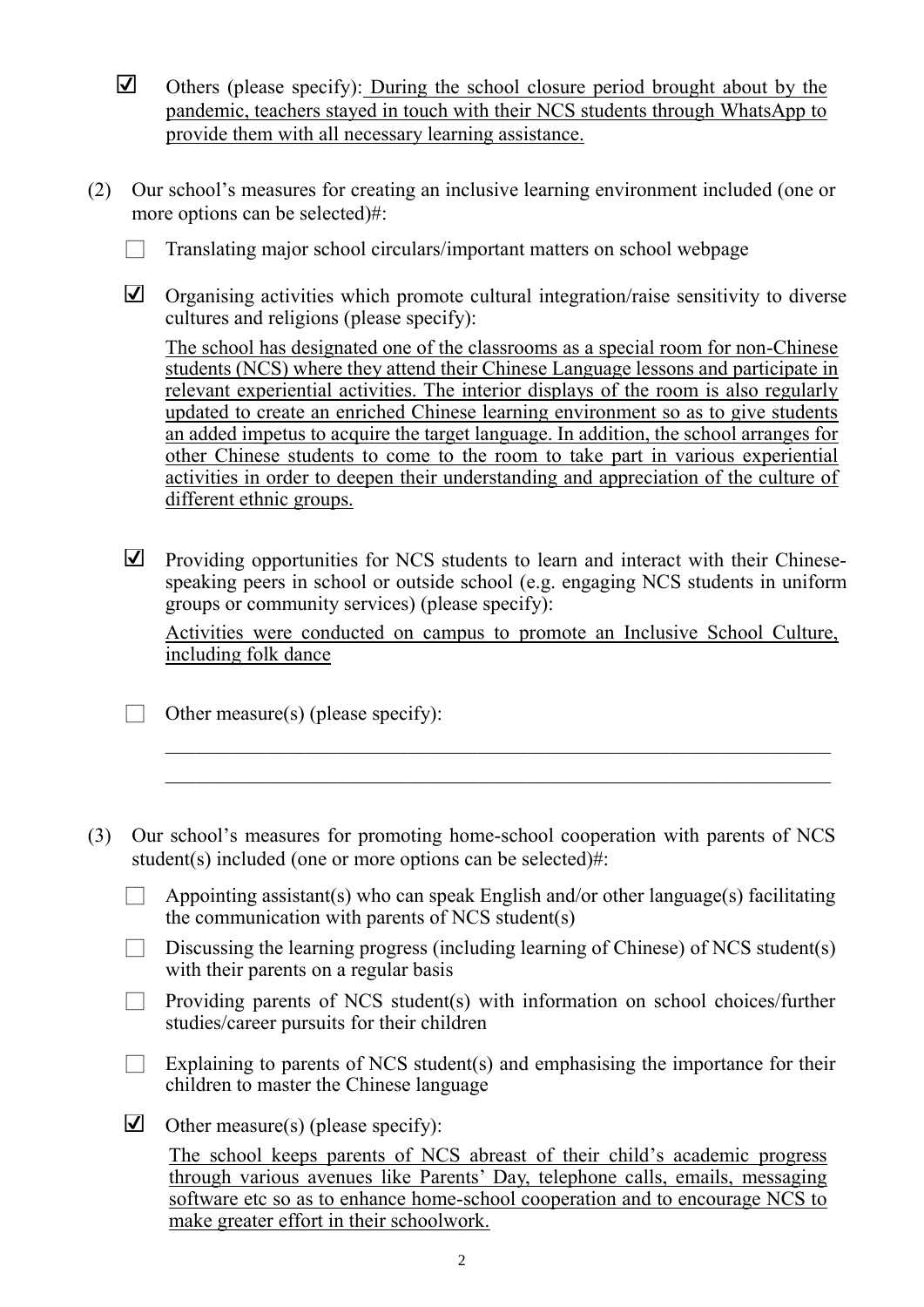- ☑ Others (please specify): During the school closure period brought about by the pandemic, teachers stayed in touch with their NCS students through WhatsApp to provide them with all necessary learning assistance.
- (2) Our school's measures for creating an inclusive learning environment included (one or more options can be selected)#:
	- $\Box$  Translating major school circulars/important matters on school webpage
	- ☑ Organising activities which promote cultural integration/raise sensitivity to diverse cultures and religions (please specify):

The school has designated one of the classrooms as a special room for non-Chinese students (NCS) where they attend their Chinese Language lessons and participate in relevant experiential activities. The interior displays of the room is also regularly updated to create an enriched Chinese learning environment so as to give students an added impetus to acquire the target language. In addition, the school arranges for other Chinese students to come to the room to take part in various experiential activities in order to deepen their understanding and appreciation of the culture of different ethnic groups.

☑ Providing opportunities for NCS students to learn and interact with their Chinesespeaking peers in school or outside school (e.g. engaging NCS students in uniform groups or community services) (please specify):

Activities were conducted on campus to promote an Inclusive School Culture, including folk dance

\_\_\_\_\_\_\_\_\_\_\_\_\_\_\_\_\_\_\_\_\_\_\_\_\_\_\_\_\_\_\_\_\_\_\_\_\_\_\_\_\_\_\_\_\_\_\_\_\_\_\_\_\_\_\_\_\_\_\_\_\_\_\_\_\_\_  $\mathcal{L}_\text{max} = \mathcal{L}_\text{max} = \mathcal{L}_\text{max} = \mathcal{L}_\text{max} = \mathcal{L}_\text{max} = \mathcal{L}_\text{max} = \mathcal{L}_\text{max} = \mathcal{L}_\text{max} = \mathcal{L}_\text{max} = \mathcal{L}_\text{max} = \mathcal{L}_\text{max} = \mathcal{L}_\text{max} = \mathcal{L}_\text{max} = \mathcal{L}_\text{max} = \mathcal{L}_\text{max} = \mathcal{L}_\text{max} = \mathcal{L}_\text{max} = \mathcal{L}_\text{max} = \mathcal{$ 

 $\Box$  Other measure(s) (please specify):

- (3) Our school's measures for promoting home-school cooperation with parents of NCS student(s) included (one or more options can be selected)#:
	- $\Box$  Appointing assistant(s) who can speak English and/or other language(s) facilitating the communication with parents of NCS student(s)
	- $\Box$  Discussing the learning progress (including learning of Chinese) of NCS student(s) with their parents on a regular basis
	- $\Box$  Providing parents of NCS student(s) with information on school choices/further studies/career pursuits for their children
	- Explaining to parents of NCS student(s) and emphasising the importance for their children to master the Chinese language
	- ☑ Other measure(s) (please specify):

The school keeps parents of NCS abreast of their child's academic progress through various avenues like Parents' Day, telephone calls, emails, messaging software etc so as to enhance home-school cooperation and to encourage NCS to make greater effort in their schoolwork.